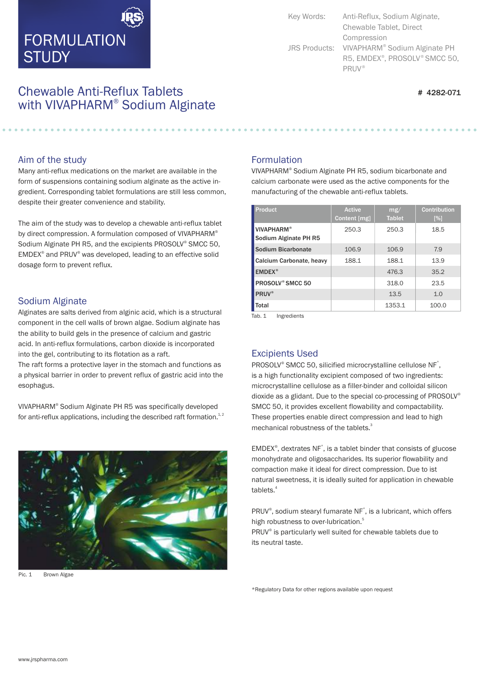# FORMULATION **STUDY**

Chewable Anti-Reflux Tablets  $\frac{1}{4}$  4282-071 with VIVAPHARM<sup>®</sup> Sodium Alginate

Key Words: Anti-Reflux, Sodium Alginate, Chewable Tablet, Direct Compression JRS Products: VIVAPHARM® Sodium Alginate PH R5, EMDEX<sup>®</sup>, PROSOLV<sup>®</sup> SMCC 50, ® PRUV

#### Aim of the study

Many anti-reflux medications on the market are available in the form of suspensions containing sodium alginate as the active ingredient. Corresponding tablet formulations are still less common, despite their greater convenience and stability.

The aim of the study was to develop a chewable anti-reflux tablet by direct compression. A formulation composed of VIVAPHARM® Sodium Alginate PH R5, and the excipients PROSOLV<sup>®</sup> SMCC 50,  $EMDEX<sup>®</sup>$  and PRUV<sup>®</sup> was developed, leading to an effective solid dosage form to prevent reflux.

#### Sodium Alginate

Alginates are salts derived from alginic acid, which is a structural component in the cell walls of brown algae. Sodium alginate has the ability to build gels in the presence of calcium and gastric acid. In anti-reflux formulations, carbon dioxide is incorporated into the gel, contributing to its flotation as a raft.

The raft forms a protective layer in the stomach and functions as a physical barrier in order to prevent reflux of gastric acid into the esophagus.

VIVAPHARM<sup>®</sup> Sodium Alginate PH R5 was specifically developed for anti-reflux applications, including the described raft formation. $^{1,2}$ 



Pic. 1 Brown Algae

### Formulation

VIVAPHARM® Sodium Alginate PH R5, sodium bicarbonate and calcium carbonate were used as the active components for the manufacturing of the chewable anti-reflux tablets.

| <b>Product</b>                             | <b>Active</b><br>Content [mg] | mg/<br><b>Tablet</b> | <b>Contribution</b><br>[%] |
|--------------------------------------------|-------------------------------|----------------------|----------------------------|
| <b>VIVAPHARM®</b><br>Sodium Alginate PH R5 | 250.3                         | 250.3                | 18.5                       |
| Sodium Bicarbonate                         | 106.9                         | 106.9                | 7.9                        |
| Calcium Carbonate, heavy                   | 188.1                         | 188.1                | 13.9                       |
| EMDEX <sup>®</sup>                         |                               | 476.3                | 35.2                       |
| PROSOLV <sup>®</sup> SMCC 50               |                               | 318.0                | 23.5                       |
| <b>PRUV®</b>                               |                               | 13.5                 | 1.0                        |
| Total                                      |                               | 1353.1               | 100.0                      |

Tab. 1 Ingredients

### Excipients Used

PROSOLV® SMCC 50, silicified microcrystalline cellulose NF<sup>\*</sup>, is a high functionality excipient composed of two ingredients: microcrystalline cellulose as a filler-binder and colloidal silicon dioxide as a glidant. Due to the special co-processing of PROSOLV ® SMCC 50, it provides excellent flowability and compactability. These properties enable direct compression and lead to high mechanical robustness of the tablets.<sup>3</sup>

EMDEX®, dextrates NF<sup>\*</sup>, is a tablet binder that consists of glucose monohydrate and oligosaccharides. Its superior flowability and compaction make it ideal for direct compression. Due to ist natural sweetness, it is ideally suited for application in chewable tablets.<sup>4</sup>

PRUV<sup>®</sup>, sodium stearyl fumarate NF<sup>\*</sup>, is a lubricant, which offers high robustness to over-lubrication.<sup>5</sup>

PRUV® is particularly well suited for chewable tablets due to its neutral taste.

\*Regulatory Data for other regions available upon request